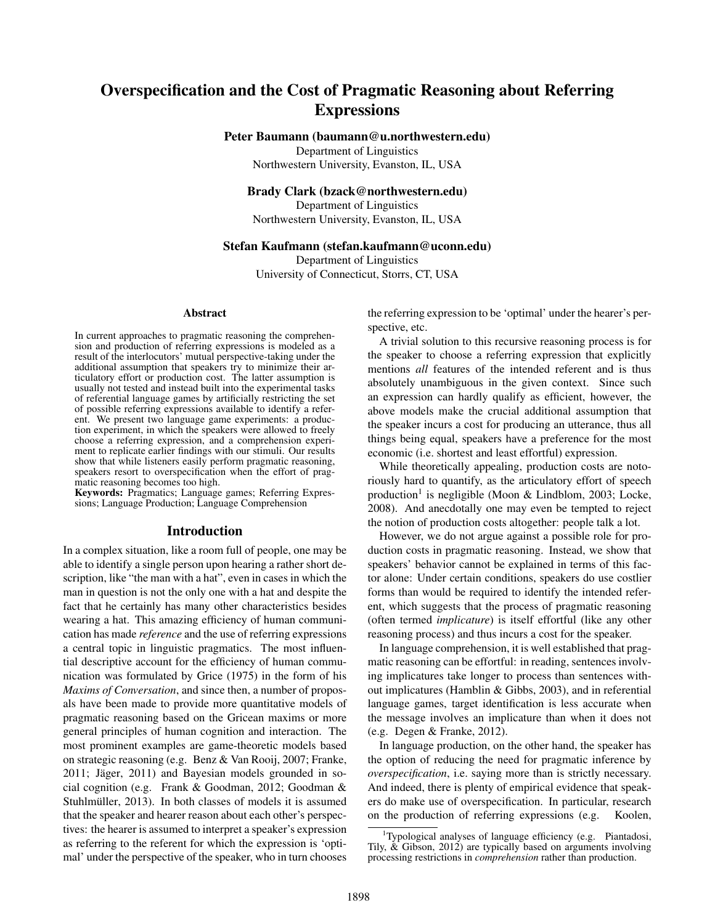# Overspecification and the Cost of Pragmatic Reasoning about Referring **Expressions**

Peter Baumann (baumann@u.northwestern.edu)

Department of Linguistics Northwestern University, Evanston, IL, USA

# Brady Clark (bzack@northwestern.edu)

Department of Linguistics Northwestern University, Evanston, IL, USA

#### Stefan Kaufmann (stefan.kaufmann@uconn.edu)

Department of Linguistics University of Connecticut, Storrs, CT, USA

#### Abstract

In current approaches to pragmatic reasoning the comprehension and production of referring expressions is modeled as a result of the interlocutors' mutual perspective-taking under the additional assumption that speakers try to minimize their articulatory effort or production cost. The latter assumption is usually not tested and instead built into the experimental tasks of referential language games by artificially restricting the set of possible referring expressions available to identify a referent. We present two language game experiments: a production experiment, in which the speakers were allowed to freely choose a referring expression, and a comprehension experiment to replicate earlier findings with our stimuli. Our results show that while listeners easily perform pragmatic reasoning, speakers resort to overspecification when the effort of pragmatic reasoning becomes too high.

Keywords: Pragmatics; Language games; Referring Expressions; Language Production; Language Comprehension

### Introduction

In a complex situation, like a room full of people, one may be able to identify a single person upon hearing a rather short description, like "the man with a hat", even in cases in which the man in question is not the only one with a hat and despite the fact that he certainly has many other characteristics besides wearing a hat. This amazing efficiency of human communication has made *reference* and the use of referring expressions a central topic in linguistic pragmatics. The most influential descriptive account for the efficiency of human communication was formulated by Grice (1975) in the form of his *Maxims of Conversation*, and since then, a number of proposals have been made to provide more quantitative models of pragmatic reasoning based on the Gricean maxims or more general principles of human cognition and interaction. The most prominent examples are game-theoretic models based on strategic reasoning (e.g. Benz & Van Rooij, 2007; Franke,  $2011$ ; Jäger,  $2011$ ) and Bayesian models grounded in social cognition (e.g. Frank & Goodman, 2012; Goodman & Stuhlmüller, 2013). In both classes of models it is assumed that the speaker and hearer reason about each other's perspectives: the hearer is assumed to interpret a speaker's expression as referring to the referent for which the expression is 'optimal' under the perspective of the speaker, who in turn chooses the referring expression to be 'optimal' under the hearer's perspective, etc.

A trivial solution to this recursive reasoning process is for the speaker to choose a referring expression that explicitly mentions *all* features of the intended referent and is thus absolutely unambiguous in the given context. Since such an expression can hardly qualify as efficient, however, the above models make the crucial additional assumption that the speaker incurs a cost for producing an utterance, thus all things being equal, speakers have a preference for the most economic (i.e. shortest and least effortful) expression.

While theoretically appealing, production costs are notoriously hard to quantify, as the articulatory effort of speech production<sup>1</sup> is negligible (Moon & Lindblom, 2003; Locke, 2008). And anecdotally one may even be tempted to reject the notion of production costs altogether: people talk a lot.

However, we do not argue against a possible role for production costs in pragmatic reasoning. Instead, we show that speakers' behavior cannot be explained in terms of this factor alone: Under certain conditions, speakers do use costlier forms than would be required to identify the intended referent, which suggests that the process of pragmatic reasoning (often termed *implicature*) is itself effortful (like any other reasoning process) and thus incurs a cost for the speaker.

In language comprehension, it is well established that pragmatic reasoning can be effortful: in reading, sentences involving implicatures take longer to process than sentences without implicatures (Hamblin & Gibbs, 2003), and in referential language games, target identification is less accurate when the message involves an implicature than when it does not (e.g. Degen & Franke, 2012).

In language production, on the other hand, the speaker has the option of reducing the need for pragmatic inference by *overspecification*, i.e. saying more than is strictly necessary. And indeed, there is plenty of empirical evidence that speakers do make use of overspecification. In particular, research on the production of referring expressions (e.g. Koolen,

<sup>&</sup>lt;sup>1</sup>Typological analyses of language efficiency (e.g. Piantadosi, Tily, & Gibson, 2012) are typically based on arguments involving processing restrictions in *comprehension* rather than production.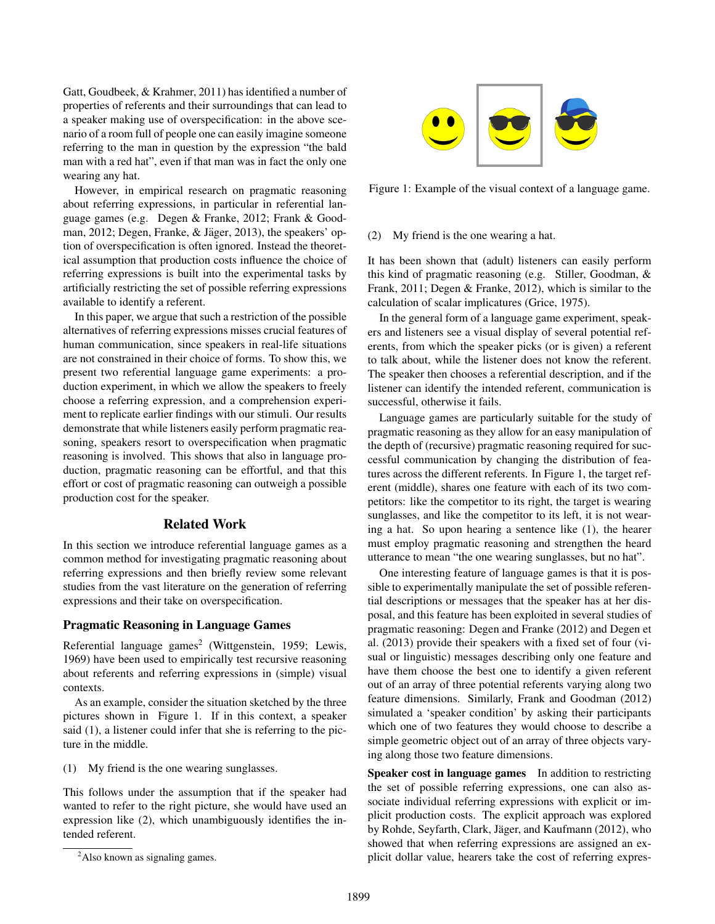Gatt, Goudbeek, & Krahmer, 2011) has identified a number of properties of referents and their surroundings that can lead to a speaker making use of overspecification: in the above scenario of a room full of people one can easily imagine someone referring to the man in question by the expression "the bald man with a red hat", even if that man was in fact the only one wearing any hat.

However, in empirical research on pragmatic reasoning about referring expressions, in particular in referential language games (e.g. Degen & Franke, 2012; Frank & Goodman, 2012; Degen, Franke, & Jäger, 2013), the speakers' option of overspecification is often ignored. Instead the theoretical assumption that production costs influence the choice of referring expressions is built into the experimental tasks by artificially restricting the set of possible referring expressions available to identify a referent.

In this paper, we argue that such a restriction of the possible alternatives of referring expressions misses crucial features of human communication, since speakers in real-life situations are not constrained in their choice of forms. To show this, we present two referential language game experiments: a production experiment, in which we allow the speakers to freely choose a referring expression, and a comprehension experiment to replicate earlier findings with our stimuli. Our results demonstrate that while listeners easily perform pragmatic reasoning, speakers resort to overspecification when pragmatic reasoning is involved. This shows that also in language production, pragmatic reasoning can be effortful, and that this effort or cost of pragmatic reasoning can outweigh a possible production cost for the speaker.

## Related Work

In this section we introduce referential language games as a common method for investigating pragmatic reasoning about referring expressions and then briefly review some relevant studies from the vast literature on the generation of referring expressions and their take on overspecification.

#### Pragmatic Reasoning in Language Games

Referential language games<sup>2</sup> (Wittgenstein, 1959; Lewis, 1969) have been used to empirically test recursive reasoning about referents and referring expressions in (simple) visual contexts.

As an example, consider the situation sketched by the three pictures shown in Figure 1. If in this context, a speaker said (1), a listener could infer that she is referring to the picture in the middle.

(1) My friend is the one wearing sunglasses.

This follows under the assumption that if the speaker had wanted to refer to the right picture, she would have used an expression like (2), which unambiguously identifies the intended referent.



Figure 1: Example of the visual context of a language game.

# (2) My friend is the one wearing a hat.

It has been shown that (adult) listeners can easily perform this kind of pragmatic reasoning (e.g. Stiller, Goodman, & Frank, 2011; Degen & Franke, 2012), which is similar to the calculation of scalar implicatures (Grice, 1975).

In the general form of a language game experiment, speakers and listeners see a visual display of several potential referents, from which the speaker picks (or is given) a referent to talk about, while the listener does not know the referent. The speaker then chooses a referential description, and if the listener can identify the intended referent, communication is successful, otherwise it fails.

Language games are particularly suitable for the study of pragmatic reasoning as they allow for an easy manipulation of the depth of (recursive) pragmatic reasoning required for successful communication by changing the distribution of features across the different referents. In Figure 1, the target referent (middle), shares one feature with each of its two competitors: like the competitor to its right, the target is wearing sunglasses, and like the competitor to its left, it is not wearing a hat. So upon hearing a sentence like (1), the hearer must employ pragmatic reasoning and strengthen the heard utterance to mean "the one wearing sunglasses, but no hat".

One interesting feature of language games is that it is possible to experimentally manipulate the set of possible referential descriptions or messages that the speaker has at her disposal, and this feature has been exploited in several studies of pragmatic reasoning: Degen and Franke (2012) and Degen et al. (2013) provide their speakers with a fixed set of four (visual or linguistic) messages describing only one feature and have them choose the best one to identify a given referent out of an array of three potential referents varying along two feature dimensions. Similarly, Frank and Goodman (2012) simulated a 'speaker condition' by asking their participants which one of two features they would choose to describe a simple geometric object out of an array of three objects varying along those two feature dimensions.

Speaker cost in language games In addition to restricting the set of possible referring expressions, one can also associate individual referring expressions with explicit or implicit production costs. The explicit approach was explored by Rohde, Seyfarth, Clark, Jäger, and Kaufmann (2012), who showed that when referring expressions are assigned an explicit dollar value, hearers take the cost of referring expres-

<sup>&</sup>lt;sup>2</sup>Also known as signaling games.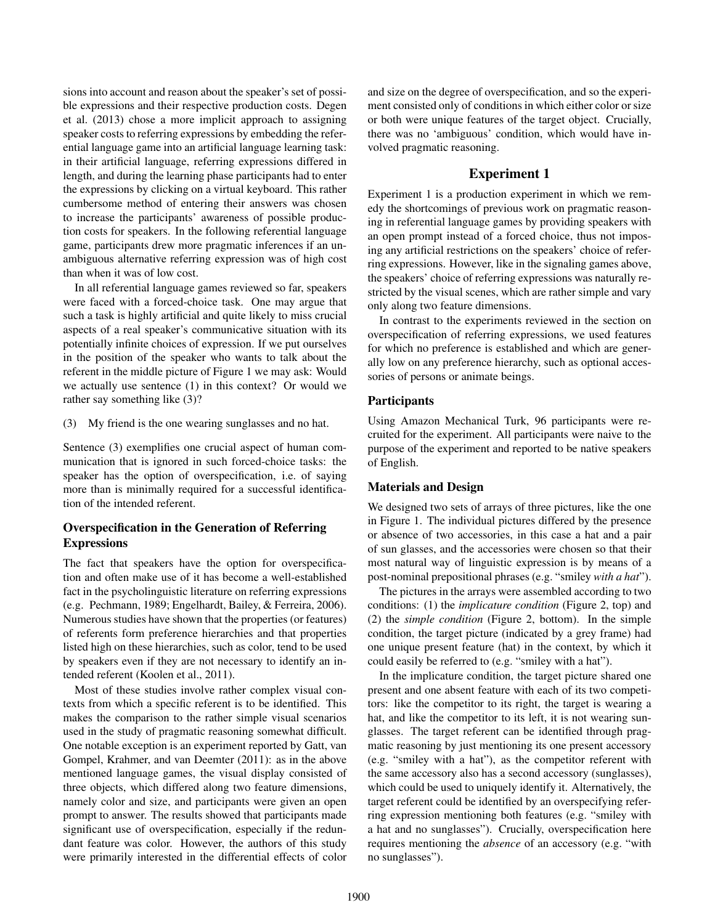sions into account and reason about the speaker's set of possible expressions and their respective production costs. Degen et al. (2013) chose a more implicit approach to assigning speaker costs to referring expressions by embedding the referential language game into an artificial language learning task: in their artificial language, referring expressions differed in length, and during the learning phase participants had to enter the expressions by clicking on a virtual keyboard. This rather cumbersome method of entering their answers was chosen to increase the participants' awareness of possible production costs for speakers. In the following referential language game, participants drew more pragmatic inferences if an unambiguous alternative referring expression was of high cost than when it was of low cost.

In all referential language games reviewed so far, speakers were faced with a forced-choice task. One may argue that such a task is highly artificial and quite likely to miss crucial aspects of a real speaker's communicative situation with its potentially infinite choices of expression. If we put ourselves in the position of the speaker who wants to talk about the referent in the middle picture of Figure 1 we may ask: Would we actually use sentence (1) in this context? Or would we rather say something like (3)?

(3) My friend is the one wearing sunglasses and no hat.

Sentence (3) exemplifies one crucial aspect of human communication that is ignored in such forced-choice tasks: the speaker has the option of overspecification, i.e. of saying more than is minimally required for a successful identification of the intended referent.

# Overspecification in the Generation of Referring **Expressions**

The fact that speakers have the option for overspecification and often make use of it has become a well-established fact in the psycholinguistic literature on referring expressions (e.g. Pechmann, 1989; Engelhardt, Bailey, & Ferreira, 2006). Numerous studies have shown that the properties (or features) of referents form preference hierarchies and that properties listed high on these hierarchies, such as color, tend to be used by speakers even if they are not necessary to identify an intended referent (Koolen et al., 2011).

Most of these studies involve rather complex visual contexts from which a specific referent is to be identified. This makes the comparison to the rather simple visual scenarios used in the study of pragmatic reasoning somewhat difficult. One notable exception is an experiment reported by Gatt, van Gompel, Krahmer, and van Deemter (2011): as in the above mentioned language games, the visual display consisted of three objects, which differed along two feature dimensions, namely color and size, and participants were given an open prompt to answer. The results showed that participants made significant use of overspecification, especially if the redundant feature was color. However, the authors of this study were primarily interested in the differential effects of color and size on the degree of overspecification, and so the experiment consisted only of conditions in which either color or size or both were unique features of the target object. Crucially, there was no 'ambiguous' condition, which would have involved pragmatic reasoning.

# Experiment 1

Experiment 1 is a production experiment in which we remedy the shortcomings of previous work on pragmatic reasoning in referential language games by providing speakers with an open prompt instead of a forced choice, thus not imposing any artificial restrictions on the speakers' choice of referring expressions. However, like in the signaling games above, the speakers' choice of referring expressions was naturally restricted by the visual scenes, which are rather simple and vary only along two feature dimensions.

In contrast to the experiments reviewed in the section on overspecification of referring expressions, we used features for which no preference is established and which are generally low on any preference hierarchy, such as optional accessories of persons or animate beings.

## **Participants**

Using Amazon Mechanical Turk, 96 participants were recruited for the experiment. All participants were naive to the purpose of the experiment and reported to be native speakers of English.

# Materials and Design

We designed two sets of arrays of three pictures, like the one in Figure 1. The individual pictures differed by the presence or absence of two accessories, in this case a hat and a pair of sun glasses, and the accessories were chosen so that their most natural way of linguistic expression is by means of a post-nominal prepositional phrases (e.g. "smiley *with a hat*").

The pictures in the arrays were assembled according to two conditions: (1) the *implicature condition* (Figure 2, top) and (2) the *simple condition* (Figure 2, bottom). In the simple condition, the target picture (indicated by a grey frame) had one unique present feature (hat) in the context, by which it could easily be referred to (e.g. "smiley with a hat").

In the implicature condition, the target picture shared one present and one absent feature with each of its two competitors: like the competitor to its right, the target is wearing a hat, and like the competitor to its left, it is not wearing sunglasses. The target referent can be identified through pragmatic reasoning by just mentioning its one present accessory (e.g. "smiley with a hat"), as the competitor referent with the same accessory also has a second accessory (sunglasses), which could be used to uniquely identify it. Alternatively, the target referent could be identified by an overspecifying referring expression mentioning both features (e.g. "smiley with a hat and no sunglasses"). Crucially, overspecification here requires mentioning the *absence* of an accessory (e.g. "with no sunglasses").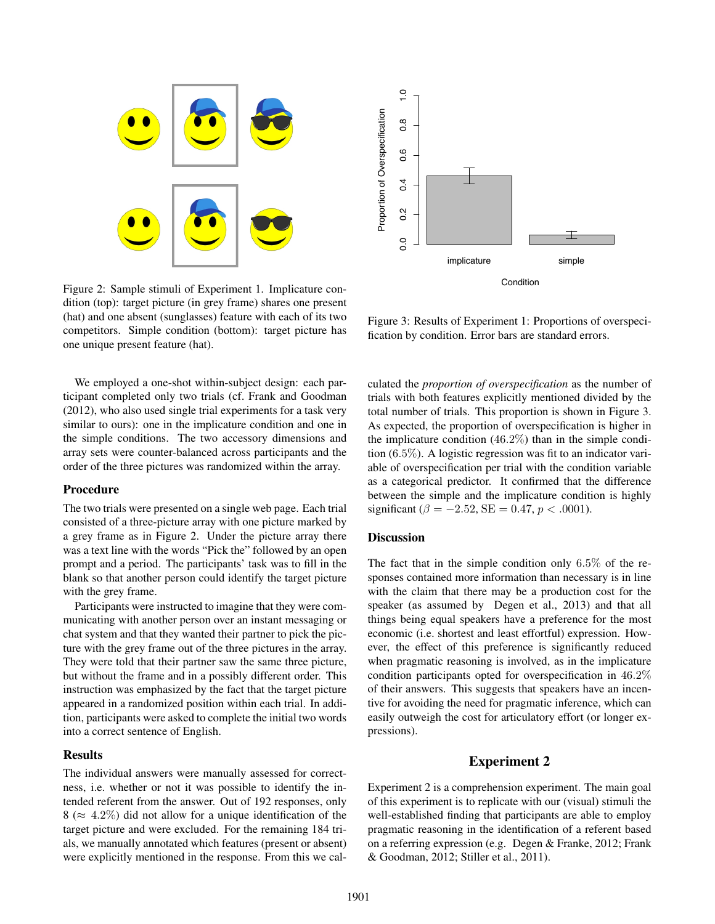

Figure 2: Sample stimuli of Experiment 1. Implicature condition (top): target picture (in grey frame) shares one present (hat) and one absent (sunglasses) feature with each of its two competitors. Simple condition (bottom): target picture has one unique present feature (hat).

We employed a one-shot within-subject design: each participant completed only two trials (cf. Frank and Goodman (2012), who also used single trial experiments for a task very similar to ours): one in the implicature condition and one in the simple conditions. The two accessory dimensions and array sets were counter-balanced across participants and the order of the three pictures was randomized within the array.

#### Procedure

The two trials were presented on a single web page. Each trial consisted of a three-picture array with one picture marked by a grey frame as in Figure 2. Under the picture array there was a text line with the words "Pick the" followed by an open prompt and a period. The participants' task was to fill in the blank so that another person could identify the target picture with the grey frame.

Participants were instructed to imagine that they were communicating with another person over an instant messaging or chat system and that they wanted their partner to pick the picture with the grey frame out of the three pictures in the array. They were told that their partner saw the same three picture, but without the frame and in a possibly different order. This instruction was emphasized by the fact that the target picture appeared in a randomized position within each trial. In addition, participants were asked to complete the initial two words into a correct sentence of English.

#### **Results**

The individual answers were manually assessed for correctness, i.e. whether or not it was possible to identify the intended referent from the answer. Out of 192 responses, only  $8 \approx 4.2\%$ ) did not allow for a unique identification of the target picture and were excluded. For the remaining 184 trials, we manually annotated which features (present or absent) were explicitly mentioned in the response. From this we cal-



Figure 3: Results of Experiment 1: Proportions of overspecification by condition. Error bars are standard errors.

culated the *proportion of overspecification* as the number of trials with both features explicitly mentioned divided by the total number of trials. This proportion is shown in Figure 3. As expected, the proportion of overspecification is higher in the implicature condition (46*.*2%) than in the simple condition (6*.*5%). A logistic regression was fit to an indicator variable of overspecification per trial with the condition variable as a categorical predictor. It confirmed that the difference between the simple and the implicature condition is highly significant ( $\beta = -2.52$ , SE = 0.47,  $p < .0001$ ).

## **Discussion**

The fact that in the simple condition only 6*.*5% of the responses contained more information than necessary is in line with the claim that there may be a production cost for the speaker (as assumed by Degen et al., 2013) and that all things being equal speakers have a preference for the most economic (i.e. shortest and least effortful) expression. However, the effect of this preference is significantly reduced when pragmatic reasoning is involved, as in the implicature condition participants opted for overspecification in 46*.*2% of their answers. This suggests that speakers have an incentive for avoiding the need for pragmatic inference, which can easily outweigh the cost for articulatory effort (or longer expressions).

#### Experiment 2

Experiment 2 is a comprehension experiment. The main goal of this experiment is to replicate with our (visual) stimuli the well-established finding that participants are able to employ pragmatic reasoning in the identification of a referent based on a referring expression (e.g. Degen & Franke, 2012; Frank & Goodman, 2012; Stiller et al., 2011).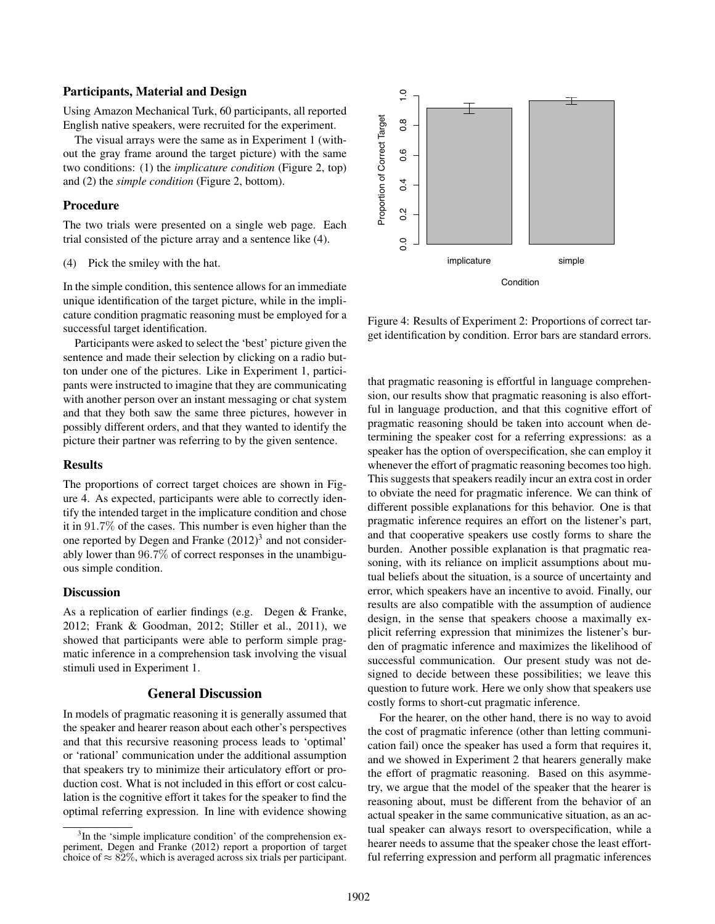#### Participants, Material and Design

Using Amazon Mechanical Turk, 60 participants, all reported English native speakers, were recruited for the experiment.

The visual arrays were the same as in Experiment 1 (without the gray frame around the target picture) with the same two conditions: (1) the *implicature condition* (Figure 2, top) and (2) the *simple condition* (Figure 2, bottom).

#### Procedure

The two trials were presented on a single web page. Each trial consisted of the picture array and a sentence like (4).

(4) Pick the smiley with the hat.

In the simple condition, this sentence allows for an immediate unique identification of the target picture, while in the implicature condition pragmatic reasoning must be employed for a successful target identification.

Participants were asked to select the 'best' picture given the sentence and made their selection by clicking on a radio button under one of the pictures. Like in Experiment 1, participants were instructed to imagine that they are communicating with another person over an instant messaging or chat system and that they both saw the same three pictures, however in possibly different orders, and that they wanted to identify the picture their partner was referring to by the given sentence.

#### Results

The proportions of correct target choices are shown in Figure 4. As expected, participants were able to correctly identify the intended target in the implicature condition and chose it in 91*.*7% of the cases. This number is even higher than the one reported by Degen and Franke  $(2012)^3$  and not considerably lower than 96*.*7% of correct responses in the unambiguous simple condition.

### **Discussion**

As a replication of earlier findings (e.g. Degen & Franke, 2012; Frank & Goodman, 2012; Stiller et al., 2011), we showed that participants were able to perform simple pragmatic inference in a comprehension task involving the visual stimuli used in Experiment 1.

# General Discussion

In models of pragmatic reasoning it is generally assumed that the speaker and hearer reason about each other's perspectives and that this recursive reasoning process leads to 'optimal' or 'rational' communication under the additional assumption that speakers try to minimize their articulatory effort or production cost. What is not included in this effort or cost calculation is the cognitive effort it takes for the speaker to find the optimal referring expression. In line with evidence showing



Figure 4: Results of Experiment 2: Proportions of correct target identification by condition. Error bars are standard errors.

that pragmatic reasoning is effortful in language comprehension, our results show that pragmatic reasoning is also effortful in language production, and that this cognitive effort of pragmatic reasoning should be taken into account when determining the speaker cost for a referring expressions: as a speaker has the option of overspecification, she can employ it whenever the effort of pragmatic reasoning becomes too high. This suggests that speakers readily incur an extra cost in order to obviate the need for pragmatic inference. We can think of different possible explanations for this behavior. One is that pragmatic inference requires an effort on the listener's part, and that cooperative speakers use costly forms to share the burden. Another possible explanation is that pragmatic reasoning, with its reliance on implicit assumptions about mutual beliefs about the situation, is a source of uncertainty and error, which speakers have an incentive to avoid. Finally, our results are also compatible with the assumption of audience design, in the sense that speakers choose a maximally explicit referring expression that minimizes the listener's burden of pragmatic inference and maximizes the likelihood of successful communication. Our present study was not designed to decide between these possibilities; we leave this question to future work. Here we only show that speakers use costly forms to short-cut pragmatic inference.

For the hearer, on the other hand, there is no way to avoid the cost of pragmatic inference (other than letting communication fail) once the speaker has used a form that requires it, and we showed in Experiment 2 that hearers generally make the effort of pragmatic reasoning. Based on this asymmetry, we argue that the model of the speaker that the hearer is reasoning about, must be different from the behavior of an actual speaker in the same communicative situation, as an actual speaker can always resort to overspecification, while a hearer needs to assume that the speaker chose the least effortful referring expression and perform all pragmatic inferences

<sup>&</sup>lt;sup>3</sup>In the 'simple implicature condition' of the comprehension experiment, Degen and Franke (2012) report a proportion of target choice of  $\approx 82\%$ , which is averaged across six trials per participant.